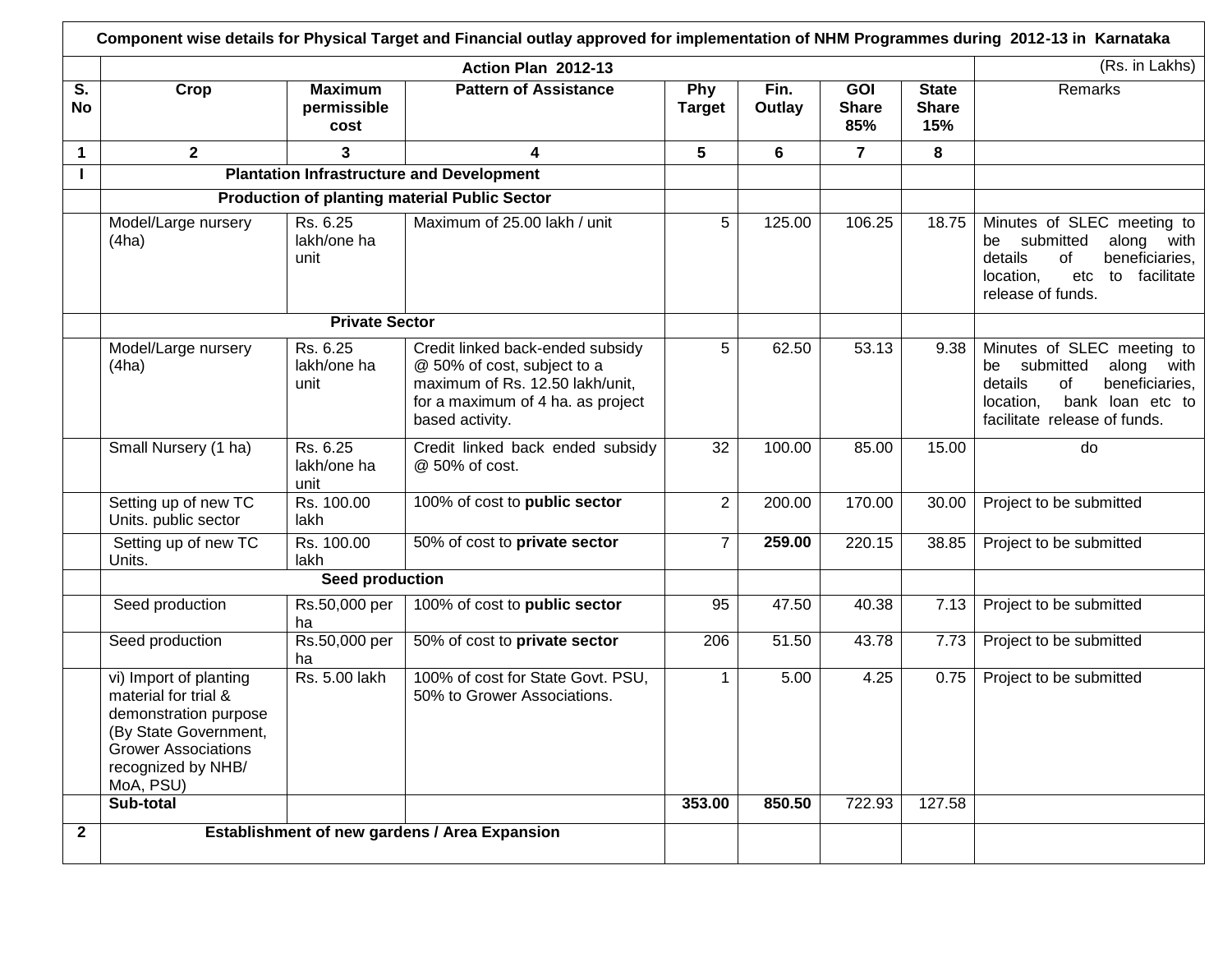|                                        |                                                                                                                                                                                |                                       | Component wise details for Physical Target and Financial outlay approved for implementation of NHM Programmes during 2012-13 in Karnataka                  |                        |                    |                                   |                                     | (Rs. in Lakhs)                                                                                                                                                     |
|----------------------------------------|--------------------------------------------------------------------------------------------------------------------------------------------------------------------------------|---------------------------------------|------------------------------------------------------------------------------------------------------------------------------------------------------------|------------------------|--------------------|-----------------------------------|-------------------------------------|--------------------------------------------------------------------------------------------------------------------------------------------------------------------|
| $\overline{\mathsf{s}}$ .<br><b>No</b> | Crop                                                                                                                                                                           | <b>Maximum</b><br>permissible<br>cost | Action Plan 2012-13<br><b>Pattern of Assistance</b>                                                                                                        | Phy<br><b>Target</b>   | Fin.<br>Outlay     | <b>GOI</b><br><b>Share</b><br>85% | <b>State</b><br><b>Share</b><br>15% | Remarks                                                                                                                                                            |
| 1                                      | $\mathbf{2}$                                                                                                                                                                   | 3                                     | 4                                                                                                                                                          | 5                      | 6                  | $\overline{7}$                    | 8                                   |                                                                                                                                                                    |
| п                                      |                                                                                                                                                                                |                                       | <b>Plantation Infrastructure and Development</b>                                                                                                           |                        |                    |                                   |                                     |                                                                                                                                                                    |
|                                        |                                                                                                                                                                                |                                       | <b>Production of planting material Public Sector</b>                                                                                                       |                        |                    |                                   |                                     |                                                                                                                                                                    |
|                                        | Model/Large nursery<br>(4ha)                                                                                                                                                   | Rs. 6.25<br>lakh/one ha<br>unit       | Maximum of 25.00 lakh / unit                                                                                                                               | 5                      | 125.00             | 106.25                            | 18.75                               | Minutes of SLEC meeting to<br>submitted<br>along with<br>be<br>details<br>of<br>beneficiaries,<br>to facilitate<br>location,<br>etc<br>release of funds.           |
|                                        |                                                                                                                                                                                | <b>Private Sector</b>                 |                                                                                                                                                            |                        |                    |                                   |                                     |                                                                                                                                                                    |
|                                        | Model/Large nursery<br>(4ha)                                                                                                                                                   | Rs. 6.25<br>lakh/one ha<br>unit       | Credit linked back-ended subsidy<br>@ 50% of cost, subject to a<br>maximum of Rs. 12.50 lakh/unit,<br>for a maximum of 4 ha. as project<br>based activity. | 5                      | 62.50              | 53.13                             | 9.38                                | Minutes of SLEC meeting to<br>submitted<br>along<br>with<br>be<br>beneficiaries,<br>details<br>of<br>bank loan etc to<br>location,<br>facilitate release of funds. |
|                                        | Small Nursery (1 ha)                                                                                                                                                           | Rs. 6.25<br>lakh/one ha<br>unit       | Credit linked back ended subsidy<br>@ 50% of cost.                                                                                                         | 32                     | 100.00             | 85.00                             | 15.00                               | do                                                                                                                                                                 |
|                                        | Setting up of new TC<br>Units. public sector                                                                                                                                   | Rs. 100.00<br>lakh                    | 100% of cost to public sector                                                                                                                              | $\overline{2}$         | 200.00             | 170.00                            | 30.00                               | Project to be submitted                                                                                                                                            |
|                                        | Setting up of new TC<br>Units.                                                                                                                                                 | Rs. 100.00<br>lakh                    | 50% of cost to private sector                                                                                                                              | $\overline{7}$         | 259.00             | 220.15                            | 38.85                               | Project to be submitted                                                                                                                                            |
|                                        |                                                                                                                                                                                | <b>Seed production</b>                |                                                                                                                                                            |                        |                    |                                   |                                     |                                                                                                                                                                    |
|                                        | Seed production                                                                                                                                                                | Rs.50,000 per<br>ha                   | 100% of cost to public sector                                                                                                                              | 95                     | 47.50              | 40.38                             | 7.13                                | Project to be submitted                                                                                                                                            |
|                                        | Seed production                                                                                                                                                                | Rs.50,000 per<br>ha                   | 50% of cost to private sector                                                                                                                              | 206                    | $\overline{5}1.50$ | 43.78                             | 7.73                                | Project to be submitted                                                                                                                                            |
|                                        | vi) Import of planting<br>material for trial &<br>demonstration purpose<br>(By State Government,<br><b>Grower Associations</b><br>recognized by NHB/<br>MoA, PSU)<br>Sub-total | Rs. 5.00 lakh                         | 100% of cost for State Govt. PSU,<br>50% to Grower Associations.                                                                                           | $\mathbf{1}$<br>353.00 | 5.00<br>850.50     | 4.25<br>722.93                    | 0.75<br>127.58                      | Project to be submitted                                                                                                                                            |
|                                        |                                                                                                                                                                                |                                       |                                                                                                                                                            |                        |                    |                                   |                                     |                                                                                                                                                                    |
| $\overline{2}$                         |                                                                                                                                                                                |                                       | Establishment of new gardens / Area Expansion                                                                                                              |                        |                    |                                   |                                     |                                                                                                                                                                    |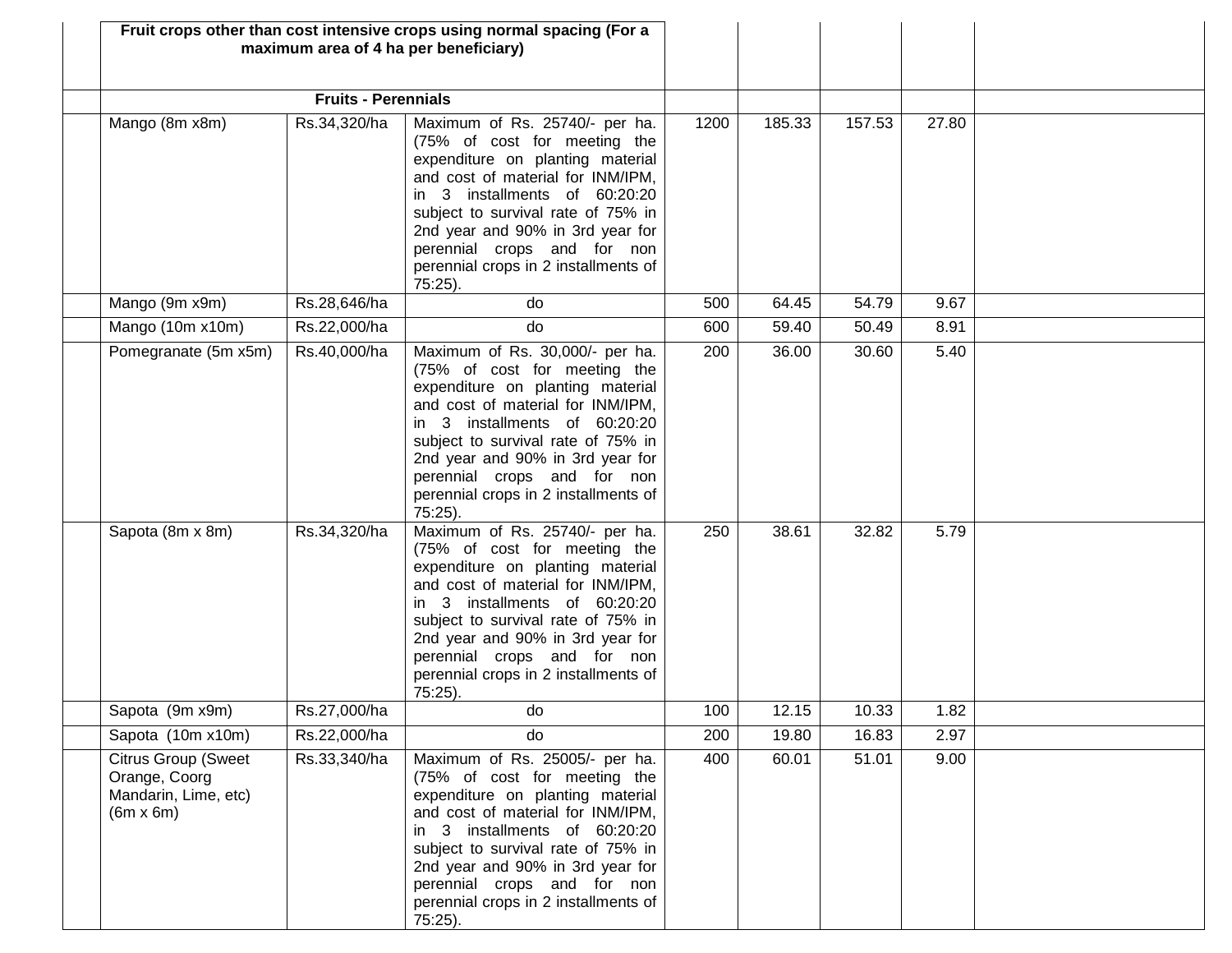|                                                                                         |                            | Fruit crops other than cost intensive crops using normal spacing (For a<br>maximum area of 4 ha per beneficiary)                                                                                                                                                                                                                         |      |        |        |       |  |
|-----------------------------------------------------------------------------------------|----------------------------|------------------------------------------------------------------------------------------------------------------------------------------------------------------------------------------------------------------------------------------------------------------------------------------------------------------------------------------|------|--------|--------|-------|--|
|                                                                                         | <b>Fruits - Perennials</b> |                                                                                                                                                                                                                                                                                                                                          |      |        |        |       |  |
| Mango (8m x8m)                                                                          | Rs.34,320/ha               | Maximum of Rs. 25740/- per ha.<br>(75% of cost for meeting the<br>expenditure on planting material<br>and cost of material for INM/IPM,<br>in 3 installments of 60:20:20<br>subject to survival rate of 75% in<br>2nd year and 90% in 3rd year for<br>perennial crops and for non<br>perennial crops in 2 installments of<br>$75:25$ ).  | 1200 | 185.33 | 157.53 | 27.80 |  |
| Mango (9m x9m)                                                                          | Rs.28,646/ha               | do                                                                                                                                                                                                                                                                                                                                       | 500  | 64.45  | 54.79  | 9.67  |  |
| Mango (10m x10m)                                                                        | Rs.22,000/ha               | do                                                                                                                                                                                                                                                                                                                                       | 600  | 59.40  | 50.49  | 8.91  |  |
| Pomegranate (5m x5m)                                                                    | Rs.40,000/ha               | Maximum of Rs. 30,000/- per ha.<br>(75% of cost for meeting the<br>expenditure on planting material<br>and cost of material for INM/IPM,<br>in 3 installments of 60:20:20<br>subject to survival rate of 75% in<br>2nd year and 90% in 3rd year for<br>perennial crops and for non<br>perennial crops in 2 installments of<br>$75:25$ ). | 200  | 36.00  | 30.60  | 5.40  |  |
| Sapota (8m x 8m)                                                                        | Rs.34,320/ha               | Maximum of Rs. 25740/- per ha.<br>(75% of cost for meeting the<br>expenditure on planting material<br>and cost of material for INM/IPM,<br>in 3 installments of 60:20:20<br>subject to survival rate of 75% in<br>2nd year and 90% in 3rd year for<br>perennial crops and for non<br>perennial crops in 2 installments of<br>$75:25$ ).  | 250  | 38.61  | 32.82  | 5.79  |  |
| Sapota (9m x9m)                                                                         | Rs.27,000/ha               | do                                                                                                                                                                                                                                                                                                                                       | 100  | 12.15  | 10.33  | 1.82  |  |
| Sapota (10m x10m)                                                                       | Rs.22,000/ha               | do                                                                                                                                                                                                                                                                                                                                       | 200  | 19.80  | 16.83  | 2.97  |  |
| <b>Citrus Group (Sweet</b><br>Orange, Coorg<br>Mandarin, Lime, etc)<br>$(6m \times 6m)$ | Rs.33,340/ha               | Maximum of Rs. 25005/- per ha.<br>(75% of cost for meeting the<br>expenditure on planting material<br>and cost of material for INM/IPM,<br>in 3 installments of 60:20:20<br>subject to survival rate of 75% in<br>2nd year and 90% in 3rd year for<br>perennial crops and for non<br>perennial crops in 2 installments of<br>$75:25$ ).  | 400  | 60.01  | 51.01  | 9.00  |  |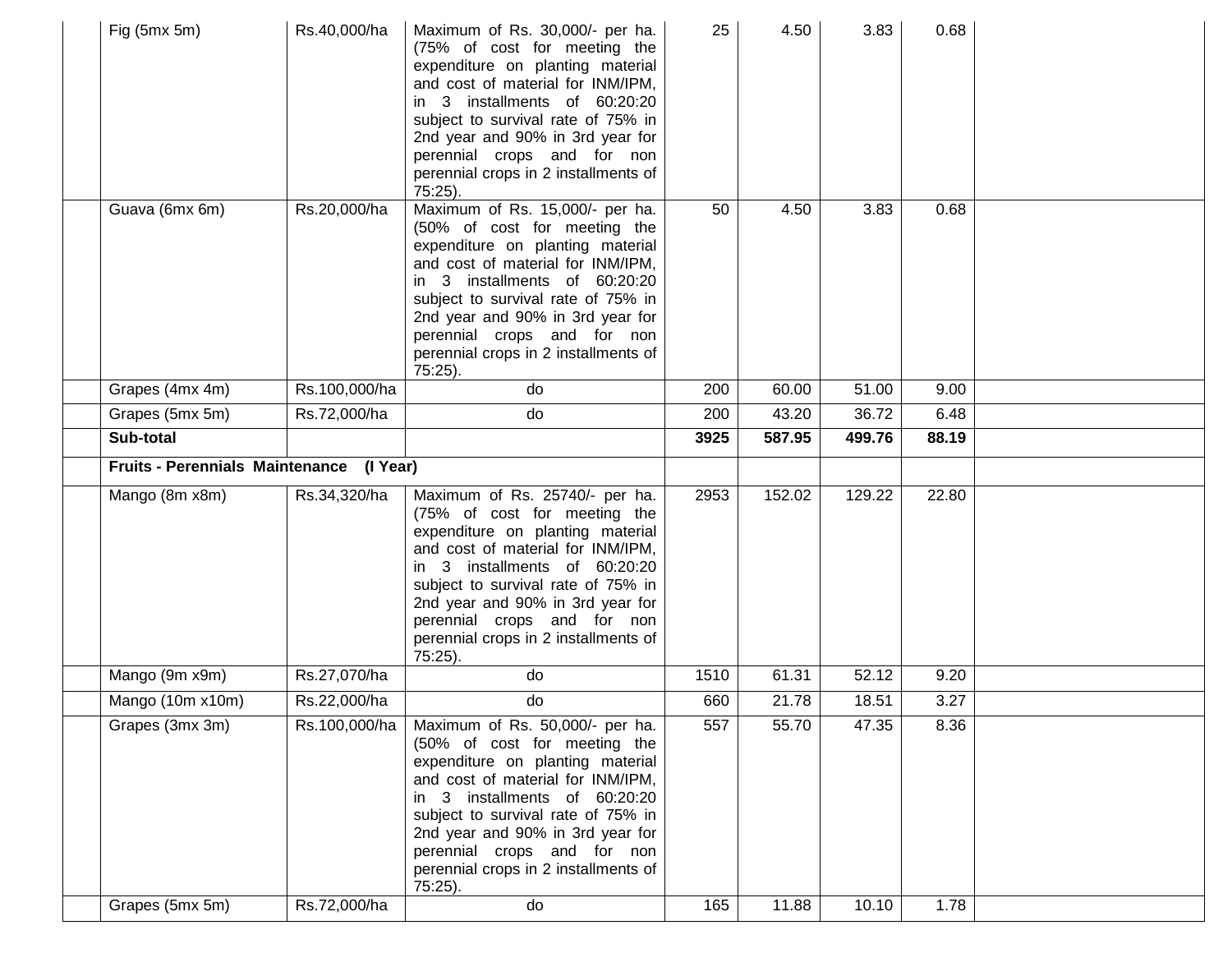| Fig $(5mx 5m)$                           | Rs.40,000/ha  | Maximum of Rs. 30,000/- per ha.<br>(75% of cost for meeting the<br>expenditure on planting material<br>and cost of material for INM/IPM,<br>in 3 installments of 60:20:20<br>subject to survival rate of 75% in<br>2nd year and 90% in 3rd year for<br>perennial crops and for non<br>perennial crops in 2 installments of<br>$75:25$ ). | 25   | 4.50   | 3.83   | 0.68  |  |
|------------------------------------------|---------------|------------------------------------------------------------------------------------------------------------------------------------------------------------------------------------------------------------------------------------------------------------------------------------------------------------------------------------------|------|--------|--------|-------|--|
| Guava (6mx 6m)                           | Rs.20,000/ha  | Maximum of Rs. 15,000/- per ha.<br>(50% of cost for meeting the<br>expenditure on planting material<br>and cost of material for INM/IPM,<br>in 3 installments of 60:20:20<br>subject to survival rate of 75% in<br>2nd year and 90% in 3rd year for<br>perennial crops and for non<br>perennial crops in 2 installments of<br>$75:25$ ). | 50   | 4.50   | 3.83   | 0.68  |  |
| Grapes (4mx 4m)                          | Rs.100,000/ha | do                                                                                                                                                                                                                                                                                                                                       | 200  | 60.00  | 51.00  | 9.00  |  |
| Grapes (5mx 5m)                          | Rs.72,000/ha  | do                                                                                                                                                                                                                                                                                                                                       | 200  | 43.20  | 36.72  | 6.48  |  |
| Sub-total                                |               |                                                                                                                                                                                                                                                                                                                                          | 3925 | 587.95 | 499.76 | 88.19 |  |
| Fruits - Perennials Maintenance (I Year) |               |                                                                                                                                                                                                                                                                                                                                          |      |        |        |       |  |
| Mango (8m x8m)                           | Rs.34,320/ha  | Maximum of Rs. 25740/- per ha.<br>(75% of cost for meeting the<br>expenditure on planting material<br>and cost of material for INM/IPM,<br>in 3 installments of 60:20:20<br>subject to survival rate of 75% in<br>2nd year and 90% in 3rd year for<br>perennial crops and for non<br>perennial crops in 2 installments of<br>$75:25$ ).  | 2953 | 152.02 | 129.22 | 22.80 |  |
| Mango (9m x9m)                           | Rs.27,070/ha  | do                                                                                                                                                                                                                                                                                                                                       | 1510 | 61.31  | 52.12  | 9.20  |  |
| Mango (10m x10m)                         | Rs.22,000/ha  | do                                                                                                                                                                                                                                                                                                                                       | 660  | 21.78  | 18.51  | 3.27  |  |
| Grapes (3mx 3m)                          | Rs.100,000/ha | Maximum of Rs. 50,000/- per ha.<br>(50% of cost for meeting the<br>expenditure on planting material<br>and cost of material for INM/IPM,<br>in 3 installments of 60:20:20<br>subject to survival rate of 75% in<br>2nd year and 90% in 3rd year for<br>perennial crops and for non<br>perennial crops in 2 installments of               | 557  | 55.70  | 47.35  | 8.36  |  |
|                                          |               | $75:25$ ).                                                                                                                                                                                                                                                                                                                               |      |        |        |       |  |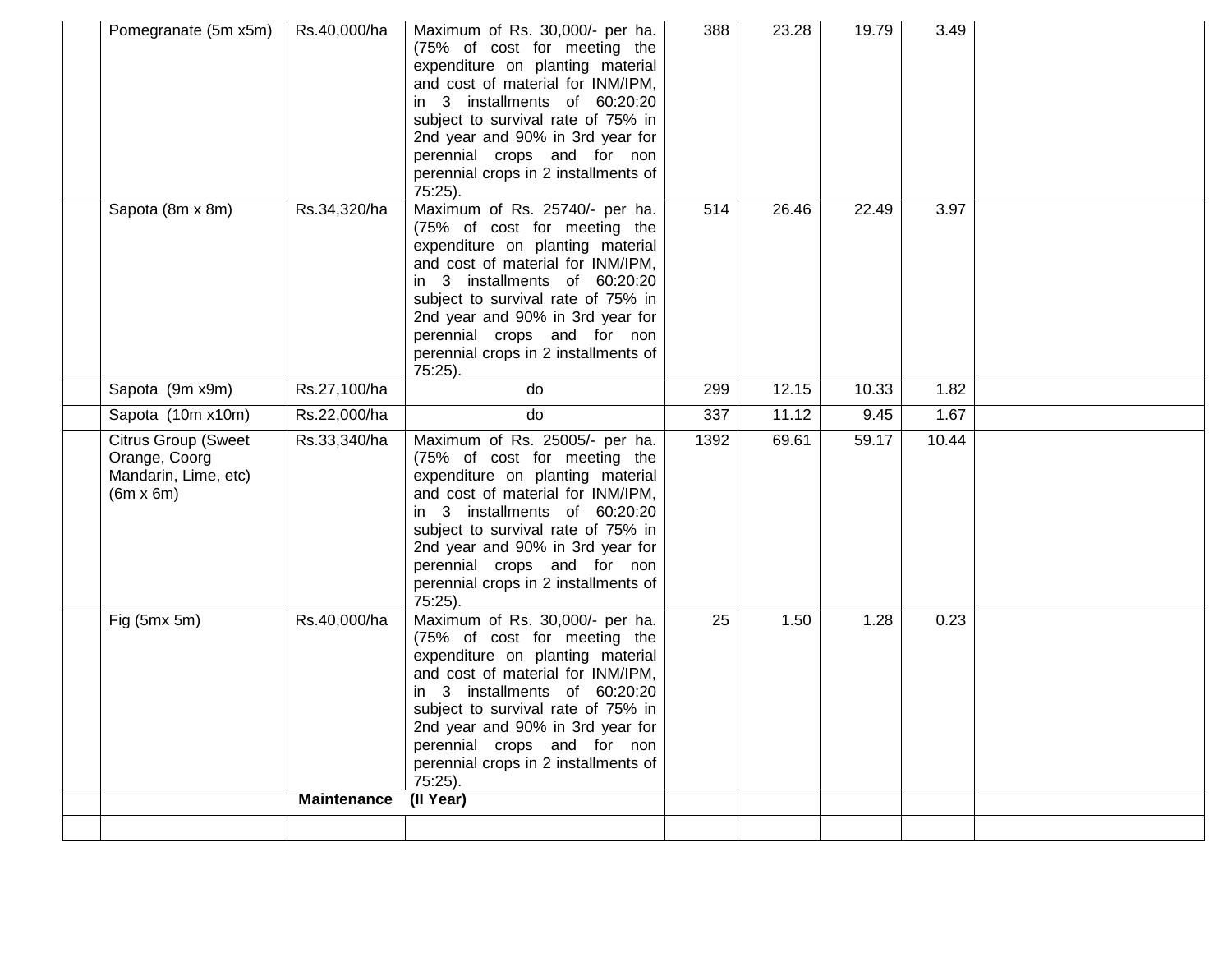| Pomegranate (5m x5m)                                                                    | Rs.40,000/ha       | Maximum of Rs. 30,000/- per ha.<br>(75% of cost for meeting the<br>expenditure on planting material<br>and cost of material for INM/IPM,<br>in 3 installments of 60:20:20<br>subject to survival rate of 75% in<br>2nd year and 90% in 3rd year for<br>perennial crops and for non<br>perennial crops in 2 installments of<br>$75:25$ ).     | 388  | 23.28 | 19.79 | 3.49  |  |
|-----------------------------------------------------------------------------------------|--------------------|----------------------------------------------------------------------------------------------------------------------------------------------------------------------------------------------------------------------------------------------------------------------------------------------------------------------------------------------|------|-------|-------|-------|--|
| Sapota (8m x 8m)                                                                        | Rs.34,320/ha       | Maximum of Rs. 25740/- per ha.<br>(75% of cost for meeting the<br>expenditure on planting material<br>and cost of material for INM/IPM,<br>in 3 installments of 60:20:20<br>subject to survival rate of 75% in<br>2nd year and 90% in 3rd year for<br>perennial crops and for non<br>perennial crops in 2 installments of<br>$75:25$ ).      | 514  | 26.46 | 22.49 | 3.97  |  |
| Sapota (9m x9m)                                                                         | Rs.27,100/ha       | do                                                                                                                                                                                                                                                                                                                                           | 299  | 12.15 | 10.33 | 1.82  |  |
| Sapota (10m x10m)                                                                       | Rs.22,000/ha       | do                                                                                                                                                                                                                                                                                                                                           | 337  | 11.12 | 9.45  | 1.67  |  |
| <b>Citrus Group (Sweet</b><br>Orange, Coorg<br>Mandarin, Lime, etc)<br>$(6m \times 6m)$ | Rs.33,340/ha       | Maximum of Rs. 25005/- per ha.<br>(75% of cost for meeting the<br>expenditure on planting material<br>and cost of material for INM/IPM,<br>in 3 installments of 60:20:20<br>subject to survival rate of 75% in<br>2nd year and 90% in 3rd year for<br>perennial crops and for non<br>perennial crops in 2 installments of<br>$75:25$ ).      | 1392 | 69.61 | 59.17 | 10.44 |  |
| Fig $(5mx 5m)$                                                                          | Rs.40,000/ha       | Maximum of Rs. 30,000/- per ha.<br>(75% of cost for meeting the<br>expenditure on planting material<br>and cost of material for INM/IPM,<br>3 installments of 60:20:20<br>in.<br>subject to survival rate of 75% in<br>2nd year and 90% in 3rd year for<br>perennial crops and for non<br>perennial crops in 2 installments of<br>$75:25$ ). | 25   | 1.50  | 1.28  | 0.23  |  |
|                                                                                         | <b>Maintenance</b> | (II Year)                                                                                                                                                                                                                                                                                                                                    |      |       |       |       |  |
|                                                                                         |                    |                                                                                                                                                                                                                                                                                                                                              |      |       |       |       |  |
|                                                                                         |                    |                                                                                                                                                                                                                                                                                                                                              |      |       |       |       |  |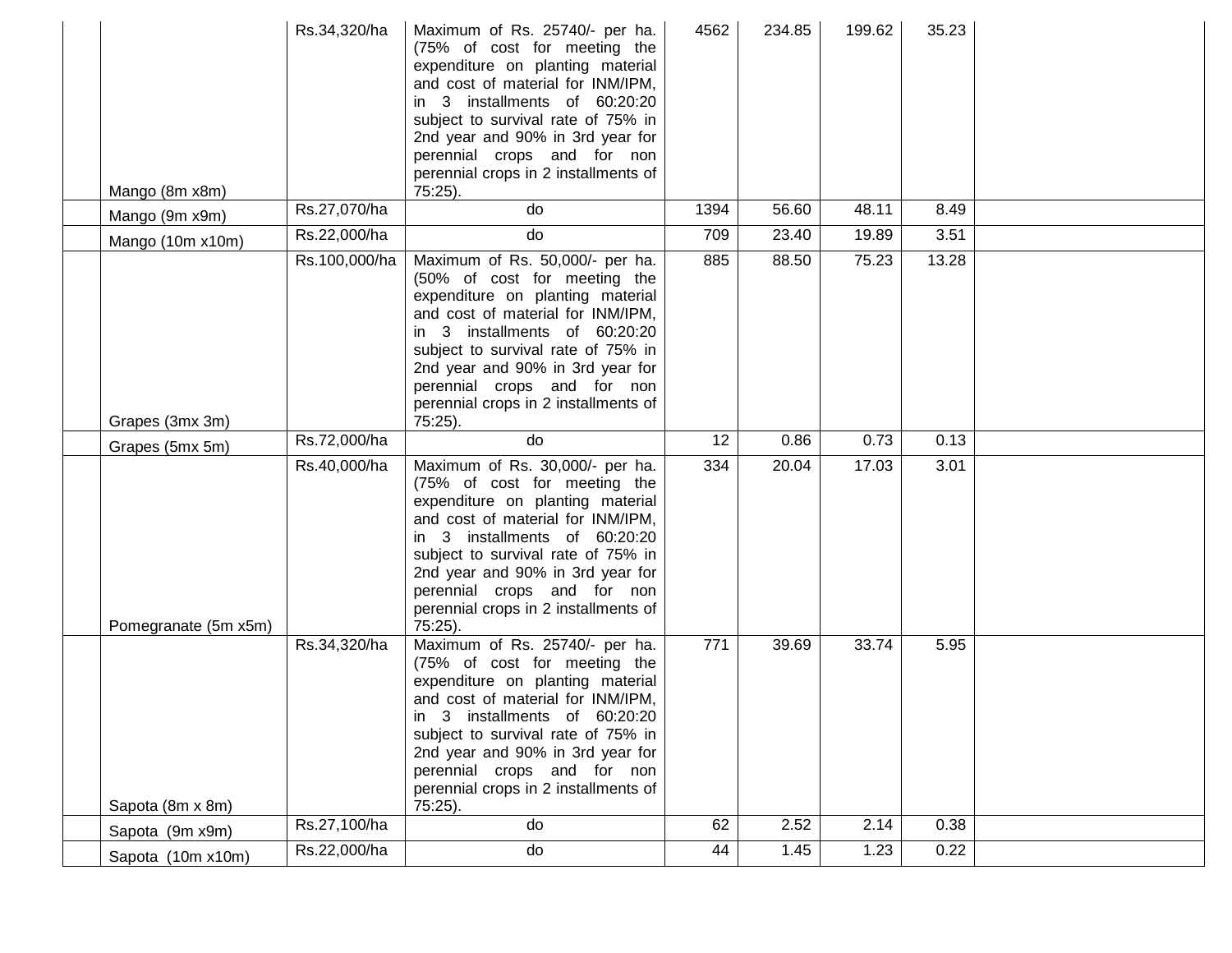| Mango (8m x8m)       | Rs.34,320/ha  | Maximum of Rs. 25740/- per ha.<br>(75% of cost for meeting the<br>expenditure on planting material<br>and cost of material for INM/IPM,<br>in 3 installments of 60:20:20<br>subject to survival rate of 75% in<br>2nd year and 90% in 3rd year for<br>perennial crops and for non<br>perennial crops in 2 installments of<br>$75:25$ ).  | 4562 | 234.85 | 199.62 | 35.23 |  |
|----------------------|---------------|------------------------------------------------------------------------------------------------------------------------------------------------------------------------------------------------------------------------------------------------------------------------------------------------------------------------------------------|------|--------|--------|-------|--|
| Mango (9m x9m)       | Rs.27,070/ha  | do                                                                                                                                                                                                                                                                                                                                       | 1394 | 56.60  | 48.11  | 8.49  |  |
| Mango (10m x10m)     | Rs.22,000/ha  | do                                                                                                                                                                                                                                                                                                                                       | 709  | 23.40  | 19.89  | 3.51  |  |
|                      | Rs.100,000/ha | Maximum of Rs. 50,000/- per ha.<br>(50% of cost for meeting the<br>expenditure on planting material<br>and cost of material for INM/IPM,<br>in 3 installments of 60:20:20<br>subject to survival rate of 75% in<br>2nd year and 90% in 3rd year for<br>perennial crops and for non<br>perennial crops in 2 installments of               | 885  | 88.50  | 75.23  | 13.28 |  |
| Grapes (3mx 3m)      |               | $75:25$ ).                                                                                                                                                                                                                                                                                                                               |      |        |        |       |  |
| Grapes (5mx 5m)      | Rs.72,000/ha  | do                                                                                                                                                                                                                                                                                                                                       | 12   | 0.86   | 0.73   | 0.13  |  |
| Pomegranate (5m x5m) | Rs.40,000/ha  | Maximum of Rs. 30,000/- per ha.<br>(75% of cost for meeting the<br>expenditure on planting material<br>and cost of material for INM/IPM,<br>in 3 installments of 60:20:20<br>subject to survival rate of 75% in<br>2nd year and 90% in 3rd year for<br>perennial crops and for non<br>perennial crops in 2 installments of<br>$75:25$ ). | 334  | 20.04  | 17.03  | 3.01  |  |
| Sapota (8m x 8m)     | Rs.34,320/ha  | Maximum of Rs. 25740/- per ha.<br>(75% of cost for meeting the<br>expenditure on planting material<br>and cost of material for INM/IPM,<br>in 3 installments of 60:20:20<br>subject to survival rate of 75% in<br>2nd year and 90% in 3rd year for<br>perennial crops and for non<br>perennial crops in 2 installments of<br>$75:25$ ).  | 771  | 39.69  | 33.74  | 5.95  |  |
| Sapota (9m x9m)      | Rs.27,100/ha  | do                                                                                                                                                                                                                                                                                                                                       | 62   | 2.52   | 2.14   | 0.38  |  |
| Sapota (10m x10m)    | Rs.22,000/ha  | do                                                                                                                                                                                                                                                                                                                                       | 44   | 1.45   | 1.23   | 0.22  |  |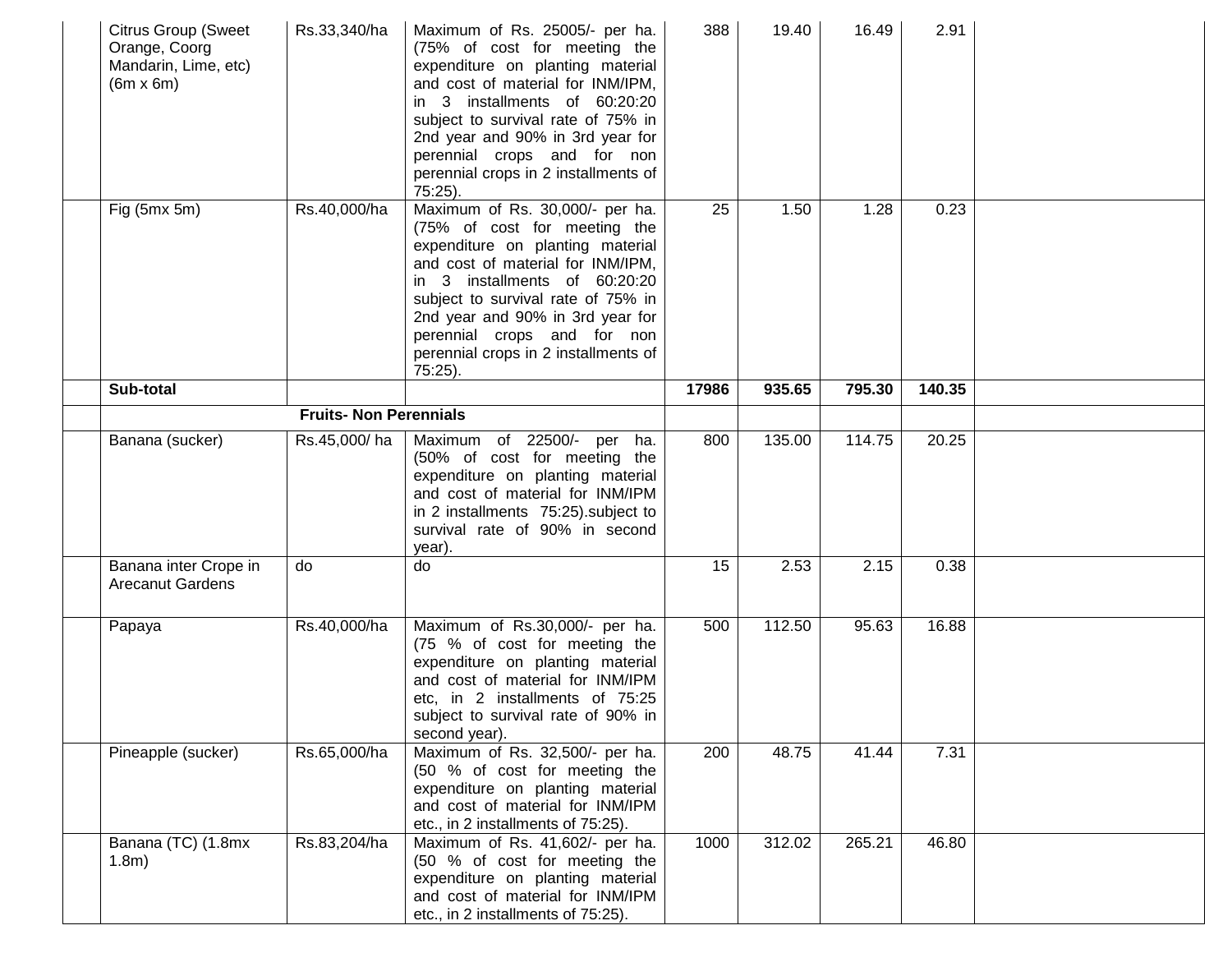| <b>Citrus Group (Sweet</b><br>Orange, Coorg<br>Mandarin, Lime, etc)<br>$(6m \times 6m)$ | Rs.33,340/ha                  | Maximum of Rs. 25005/- per ha.<br>(75% of cost for meeting the<br>expenditure on planting material<br>and cost of material for INM/IPM,<br>in 3 installments of 60:20:20<br>subject to survival rate of 75% in<br>2nd year and 90% in 3rd year for<br>perennial crops and for non<br>perennial crops in 2 installments of<br>$75:25$ ).  | 388   | 19.40  | 16.49  | 2.91   |  |
|-----------------------------------------------------------------------------------------|-------------------------------|------------------------------------------------------------------------------------------------------------------------------------------------------------------------------------------------------------------------------------------------------------------------------------------------------------------------------------------|-------|--------|--------|--------|--|
| Fig $(5mx 5m)$                                                                          | Rs.40,000/ha                  | Maximum of Rs. 30,000/- per ha.<br>(75% of cost for meeting the<br>expenditure on planting material<br>and cost of material for INM/IPM,<br>in 3 installments of 60:20:20<br>subject to survival rate of 75% in<br>2nd year and 90% in 3rd year for<br>perennial crops and for non<br>perennial crops in 2 installments of<br>$75:25$ ). | 25    | 1.50   | 1.28   | 0.23   |  |
| Sub-total                                                                               |                               |                                                                                                                                                                                                                                                                                                                                          | 17986 | 935.65 | 795.30 | 140.35 |  |
|                                                                                         | <b>Fruits- Non Perennials</b> |                                                                                                                                                                                                                                                                                                                                          |       |        |        |        |  |
| Banana (sucker)                                                                         | Rs.45,000/ha                  | Maximum of 22500/- per ha.<br>(50% of cost for meeting the<br>expenditure on planting material<br>and cost of material for INM/IPM<br>in 2 installments 75:25). subject to<br>survival rate of 90% in second<br>year).                                                                                                                   | 800   | 135.00 | 114.75 | 20.25  |  |
| Banana inter Crope in<br><b>Arecanut Gardens</b>                                        | do                            | do                                                                                                                                                                                                                                                                                                                                       | 15    | 2.53   | 2.15   | 0.38   |  |
| Papaya                                                                                  | Rs.40,000/ha                  | Maximum of Rs.30,000/- per ha.<br>(75 % of cost for meeting the<br>expenditure on planting material<br>and cost of material for INM/IPM<br>etc, in 2 installments of 75:25<br>subject to survival rate of 90% in<br>second year).                                                                                                        | 500   | 112.50 | 95.63  | 16.88  |  |
| Pineapple (sucker)                                                                      | Rs.65,000/ha                  | Maximum of Rs. 32,500/- per ha.<br>(50 % of cost for meeting the<br>expenditure on planting material<br>and cost of material for INM/IPM<br>etc., in 2 installments of 75:25).                                                                                                                                                           | 200   | 48.75  | 41.44  | 7.31   |  |
| Banana (TC) (1.8mx<br>$1.8m$ )                                                          | Rs.83,204/ha                  | Maximum of Rs. 41,602/- per ha.<br>(50 % of cost for meeting the<br>expenditure on planting material<br>and cost of material for INM/IPM<br>etc., in 2 installments of 75:25).                                                                                                                                                           | 1000  | 312.02 | 265.21 | 46.80  |  |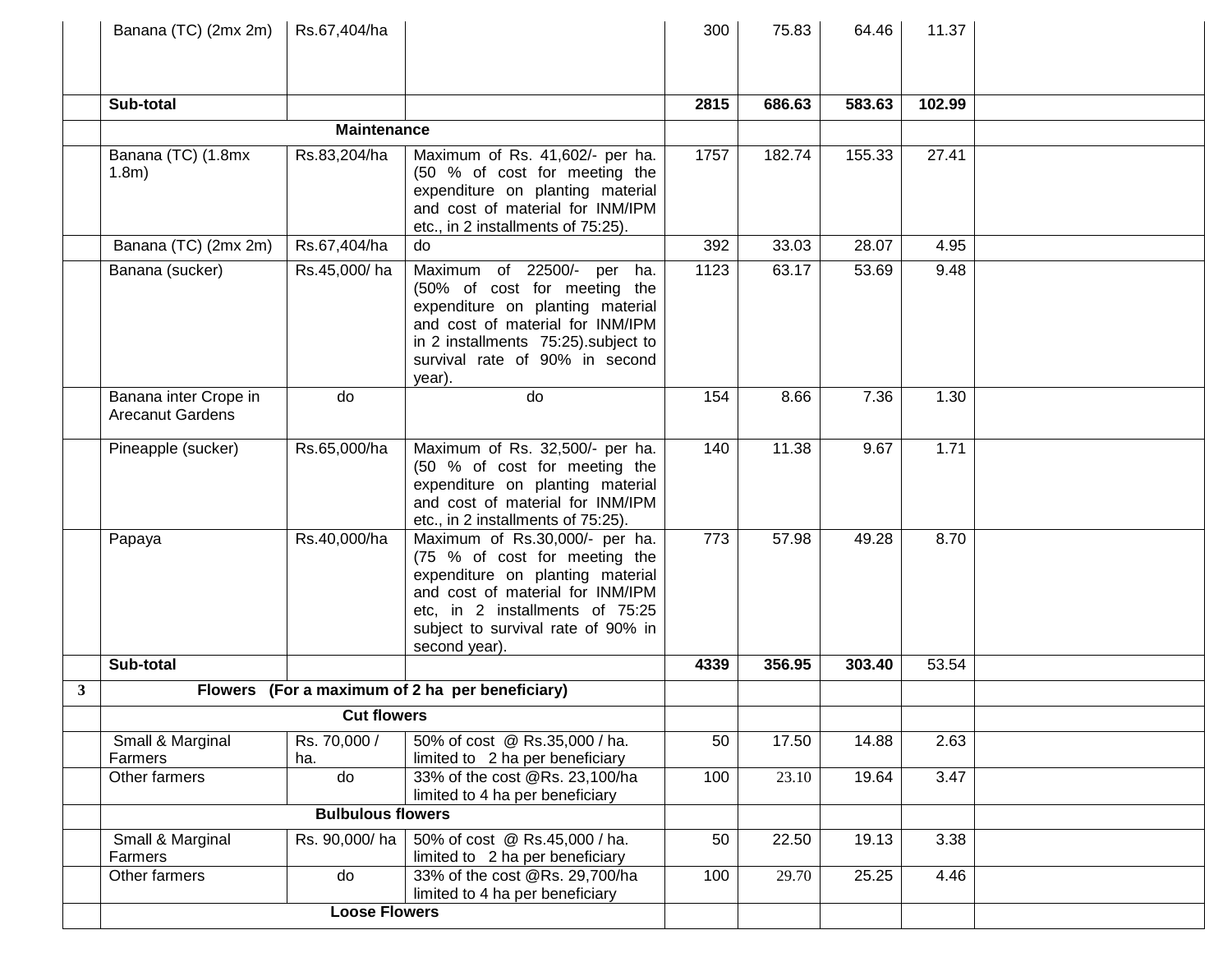|   | Banana (TC) (2mx 2m)                             | Rs.67,404/ha             |                                                                                                                                                                                                                                   | 300  | 75.83              | 64.46  | 11.37  |  |
|---|--------------------------------------------------|--------------------------|-----------------------------------------------------------------------------------------------------------------------------------------------------------------------------------------------------------------------------------|------|--------------------|--------|--------|--|
|   |                                                  |                          |                                                                                                                                                                                                                                   |      |                    |        |        |  |
|   | Sub-total                                        |                          |                                                                                                                                                                                                                                   | 2815 | 686.63             | 583.63 | 102.99 |  |
|   |                                                  | <b>Maintenance</b>       |                                                                                                                                                                                                                                   |      |                    |        |        |  |
|   | Banana (TC) (1.8mx<br>$1.8m$ )                   | Rs.83,204/ha             | Maximum of Rs. 41,602/- per ha.<br>(50 % of cost for meeting the<br>expenditure on planting material<br>and cost of material for INM/IPM<br>etc., in 2 installments of 75:25).                                                    | 1757 | 182.74             | 155.33 | 27.41  |  |
|   | Banana (TC) (2mx 2m)                             | Rs.67,404/ha             | do                                                                                                                                                                                                                                | 392  | 33.03              | 28.07  | 4.95   |  |
|   | Banana (sucker)                                  | Rs.45,000/ha             | Maximum of 22500/- per ha.<br>(50% of cost for meeting the<br>expenditure on planting material<br>and cost of material for INM/IPM<br>in 2 installments 75:25). subject to<br>survival rate of 90% in second<br>year).            | 1123 | 63.17              | 53.69  | 9.48   |  |
|   | Banana inter Crope in<br><b>Arecanut Gardens</b> | do                       | do                                                                                                                                                                                                                                | 154  | 8.66               | 7.36   | 1.30   |  |
|   | Pineapple (sucker)                               | Rs.65,000/ha             | Maximum of Rs. 32,500/- per ha.<br>(50 % of cost for meeting the<br>expenditure on planting material<br>and cost of material for INM/IPM<br>etc., in 2 installments of 75:25).                                                    | 140  | 11.38              | 9.67   | 1.71   |  |
|   | Papaya                                           | Rs.40,000/ha             | Maximum of Rs.30,000/- per ha.<br>(75 % of cost for meeting the<br>expenditure on planting material<br>and cost of material for INM/IPM<br>etc, in 2 installments of 75:25<br>subject to survival rate of 90% in<br>second year). | 773  | 57.98              | 49.28  | 8.70   |  |
|   | Sub-total                                        |                          |                                                                                                                                                                                                                                   | 4339 | 356.95             | 303.40 | 53.54  |  |
| 3 |                                                  |                          | Flowers (For a maximum of 2 ha per beneficiary)                                                                                                                                                                                   |      |                    |        |        |  |
|   |                                                  | <b>Cut flowers</b>       |                                                                                                                                                                                                                                   |      |                    |        |        |  |
|   | Small & Marginal<br>Farmers                      | Rs. 70,000 /<br>ha.      | 50% of cost @ Rs.35,000 / ha.<br>limited to 2 ha per beneficiary                                                                                                                                                                  | 50   | 17.50              | 14.88  | 2.63   |  |
|   | Other farmers                                    | do                       | 33% of the cost @Rs. 23,100/ha<br>limited to 4 ha per beneficiary                                                                                                                                                                 | 100  | 23.10              | 19.64  | 3.47   |  |
|   |                                                  | <b>Bulbulous flowers</b> |                                                                                                                                                                                                                                   |      |                    |        |        |  |
|   | Small & Marginal<br>Farmers                      | Rs. 90,000/ha            | 50% of cost @ Rs.45,000 / ha.<br>limited to 2 ha per beneficiary                                                                                                                                                                  | 50   | 22.50              | 19.13  | 3.38   |  |
|   | Other farmers                                    | $\overline{d}$           | 33% of the cost @Rs. 29,700/ha<br>limited to 4 ha per beneficiary                                                                                                                                                                 | 100  | $\overline{29.70}$ | 25.25  | 4.46   |  |
|   |                                                  | <b>Loose Flowers</b>     |                                                                                                                                                                                                                                   |      |                    |        |        |  |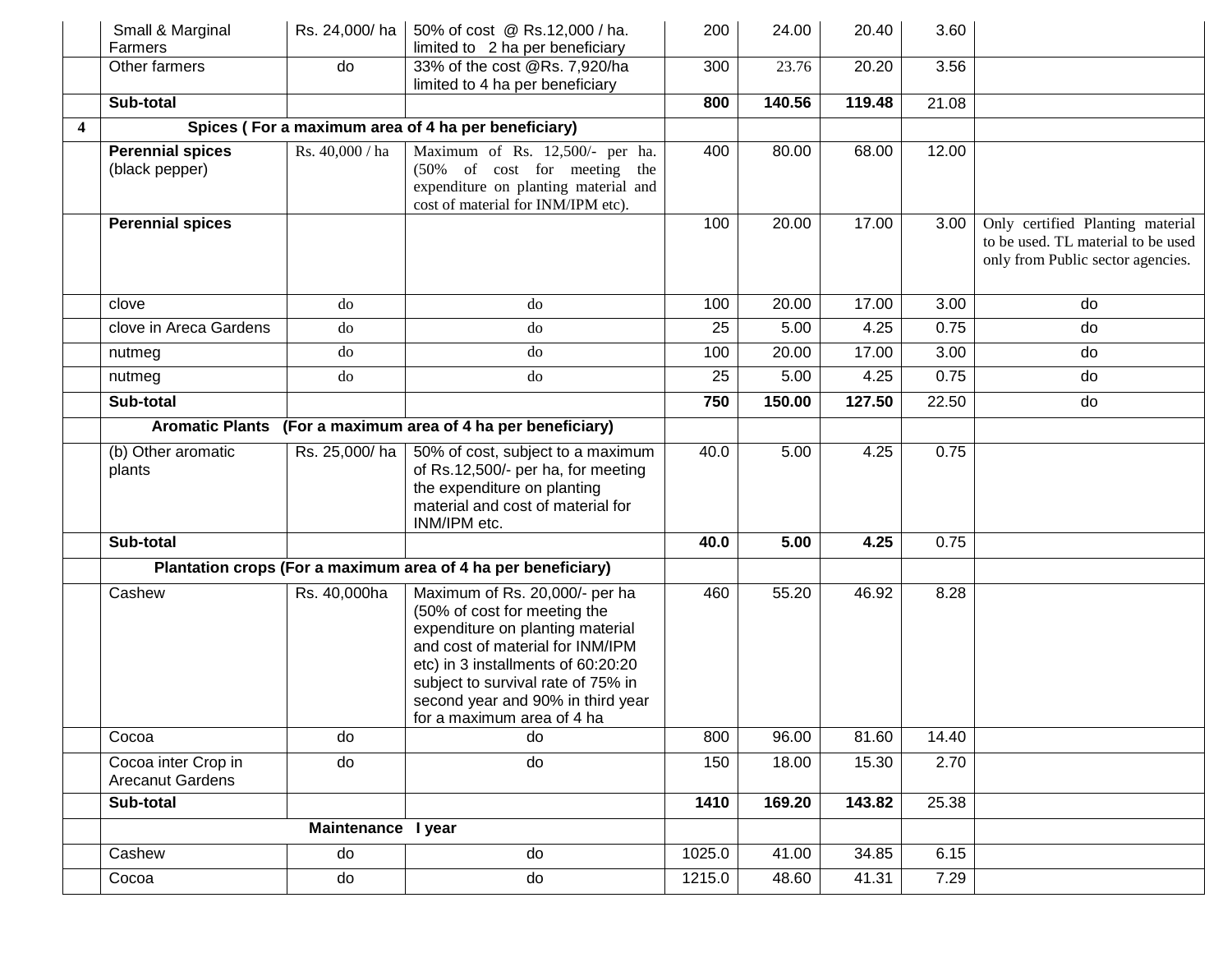|                         | Small & Marginal                               | Rs. 24,000/ha      | 50% of cost @ Rs.12,000 / ha.                                                                                                                                                                                                                                                         | 200    | 24.00  | 20.40  | 3.60  |                                                                                                             |
|-------------------------|------------------------------------------------|--------------------|---------------------------------------------------------------------------------------------------------------------------------------------------------------------------------------------------------------------------------------------------------------------------------------|--------|--------|--------|-------|-------------------------------------------------------------------------------------------------------------|
|                         | Farmers                                        |                    | limited to 2 ha per beneficiary                                                                                                                                                                                                                                                       |        |        |        |       |                                                                                                             |
|                         | Other farmers                                  | do                 | 33% of the cost @Rs. 7,920/ha<br>limited to 4 ha per beneficiary                                                                                                                                                                                                                      | 300    | 23.76  | 20.20  | 3.56  |                                                                                                             |
|                         | Sub-total                                      |                    |                                                                                                                                                                                                                                                                                       | 800    | 140.56 | 119.48 | 21.08 |                                                                                                             |
| $\overline{\mathbf{4}}$ |                                                |                    | Spices (For a maximum area of 4 ha per beneficiary)                                                                                                                                                                                                                                   |        |        |        |       |                                                                                                             |
|                         | <b>Perennial spices</b><br>(black pepper)      | Rs. 40,000 / ha    | Maximum of Rs. 12,500/- per ha.<br>(50% of cost for meeting the<br>expenditure on planting material and<br>cost of material for INM/IPM etc).                                                                                                                                         | 400    | 80.00  | 68.00  | 12.00 |                                                                                                             |
|                         | <b>Perennial spices</b>                        |                    |                                                                                                                                                                                                                                                                                       | 100    | 20.00  | 17.00  | 3.00  | Only certified Planting material<br>to be used. TL material to be used<br>only from Public sector agencies. |
|                         | clove                                          | do                 | do                                                                                                                                                                                                                                                                                    | 100    | 20.00  | 17.00  | 3.00  | do                                                                                                          |
|                         | clove in Areca Gardens                         | do                 | $d$ o                                                                                                                                                                                                                                                                                 | 25     | 5.00   | 4.25   | 0.75  | do                                                                                                          |
|                         | nutmeg                                         | do                 | do                                                                                                                                                                                                                                                                                    | 100    | 20.00  | 17.00  | 3.00  | do                                                                                                          |
|                         | nutmeg                                         | do                 | do                                                                                                                                                                                                                                                                                    | 25     | 5.00   | 4.25   | 0.75  | do                                                                                                          |
|                         | Sub-total                                      |                    |                                                                                                                                                                                                                                                                                       | 750    | 150.00 | 127.50 | 22.50 | do                                                                                                          |
|                         | <b>Aromatic Plants</b>                         |                    | (For a maximum area of 4 ha per beneficiary)                                                                                                                                                                                                                                          |        |        |        |       |                                                                                                             |
|                         | (b) Other aromatic<br>plants                   | Rs. 25,000/ha      | 50% of cost, subject to a maximum<br>of Rs.12,500/- per ha, for meeting<br>the expenditure on planting<br>material and cost of material for<br>INM/IPM etc.                                                                                                                           | 40.0   | 5.00   | 4.25   | 0.75  |                                                                                                             |
|                         | Sub-total                                      |                    |                                                                                                                                                                                                                                                                                       | 40.0   | 5.00   | 4.25   | 0.75  |                                                                                                             |
|                         |                                                |                    | Plantation crops (For a maximum area of 4 ha per beneficiary)                                                                                                                                                                                                                         |        |        |        |       |                                                                                                             |
|                         | Cashew                                         | Rs. 40,000ha       | Maximum of Rs. 20,000/- per ha<br>(50% of cost for meeting the<br>expenditure on planting material<br>and cost of material for INM/IPM<br>etc) in 3 installments of 60:20:20<br>subject to survival rate of 75% in<br>second year and 90% in third year<br>for a maximum area of 4 ha | 460    | 55.20  | 46.92  | 8.28  |                                                                                                             |
|                         | Cocoa                                          | do                 | do                                                                                                                                                                                                                                                                                    | 800    | 96.00  | 81.60  | 14.40 |                                                                                                             |
|                         | Cocoa inter Crop in<br><b>Arecanut Gardens</b> | do                 | do                                                                                                                                                                                                                                                                                    | 150    | 18.00  | 15.30  | 2.70  |                                                                                                             |
|                         | Sub-total                                      |                    |                                                                                                                                                                                                                                                                                       | 1410   | 169.20 | 143.82 | 25.38 |                                                                                                             |
|                         |                                                | Maintenance I year |                                                                                                                                                                                                                                                                                       |        |        |        |       |                                                                                                             |
|                         | Cashew                                         | do                 | do                                                                                                                                                                                                                                                                                    | 1025.0 | 41.00  | 34.85  | 6.15  |                                                                                                             |
|                         | Cocoa                                          | do                 | do                                                                                                                                                                                                                                                                                    | 1215.0 | 48.60  | 41.31  | 7.29  |                                                                                                             |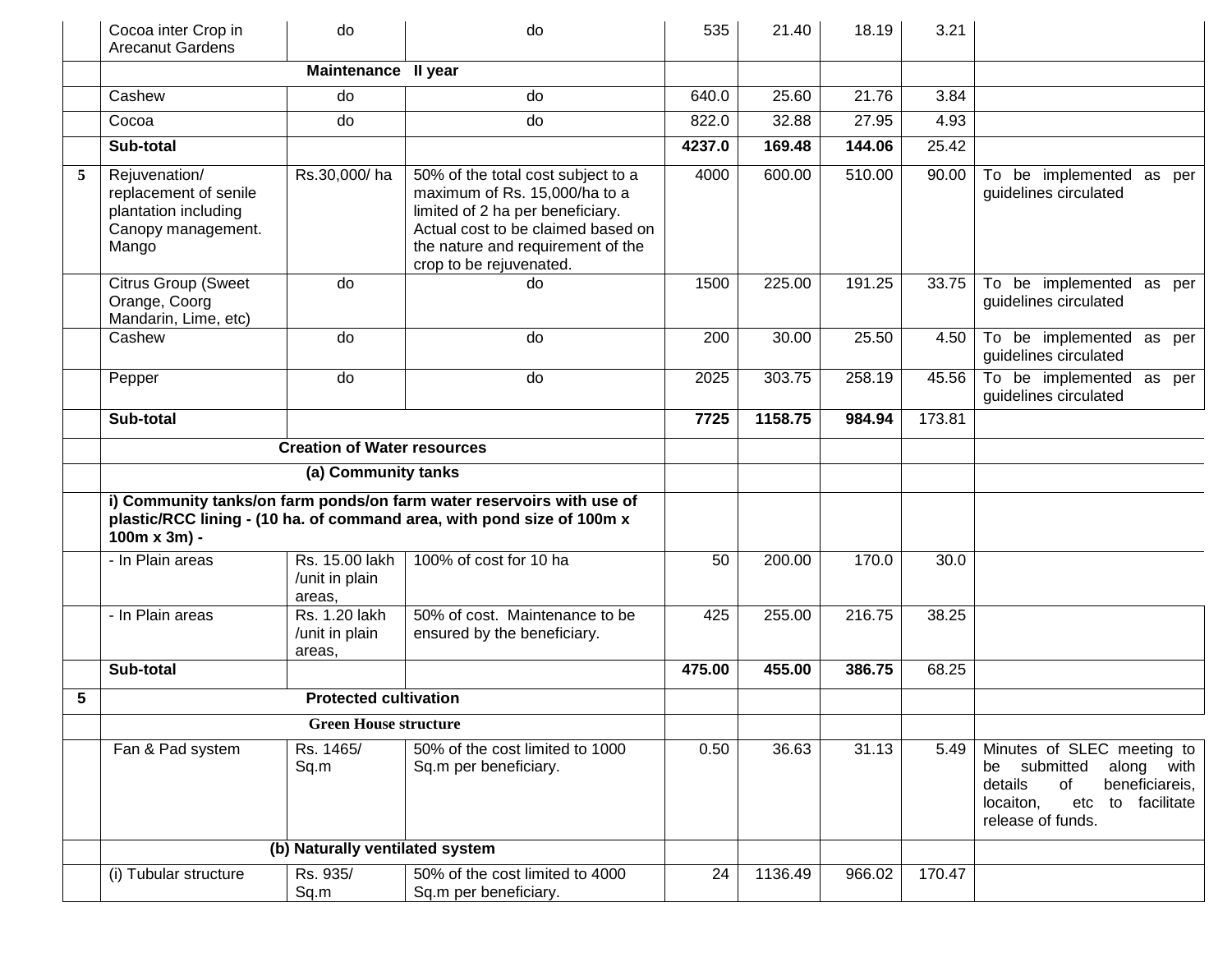|   | Cocoa inter Crop in<br><b>Arecanut Gardens</b>                                                | do                                         | do                                                                                                                                                                                                            | 535    | 21.40   | 18.19  | 3.21   |                                                                                                                                                       |
|---|-----------------------------------------------------------------------------------------------|--------------------------------------------|---------------------------------------------------------------------------------------------------------------------------------------------------------------------------------------------------------------|--------|---------|--------|--------|-------------------------------------------------------------------------------------------------------------------------------------------------------|
|   |                                                                                               | Maintenance II year                        |                                                                                                                                                                                                               |        |         |        |        |                                                                                                                                                       |
|   | Cashew                                                                                        | do                                         | do                                                                                                                                                                                                            | 640.0  | 25.60   | 21.76  | 3.84   |                                                                                                                                                       |
|   | Cocoa                                                                                         | do                                         | do                                                                                                                                                                                                            | 822.0  | 32.88   | 27.95  | 4.93   |                                                                                                                                                       |
|   | Sub-total                                                                                     |                                            |                                                                                                                                                                                                               | 4237.0 | 169.48  | 144.06 | 25.42  |                                                                                                                                                       |
| 5 | Rejuvenation/<br>replacement of senile<br>plantation including<br>Canopy management.<br>Mango | Rs.30,000/ha                               | 50% of the total cost subject to a<br>maximum of Rs. 15,000/ha to a<br>limited of 2 ha per beneficiary.<br>Actual cost to be claimed based on<br>the nature and requirement of the<br>crop to be rejuvenated. | 4000   | 600.00  | 510.00 | 90.00  | To be implemented<br>as per<br>guidelines circulated                                                                                                  |
|   | <b>Citrus Group (Sweet</b><br>Orange, Coorg<br>Mandarin, Lime, etc)                           | do                                         | do                                                                                                                                                                                                            | 1500   | 225.00  | 191.25 | 33.75  | To be implemented<br>as per<br>guidelines circulated                                                                                                  |
|   | Cashew                                                                                        | do                                         | do                                                                                                                                                                                                            | 200    | 30.00   | 25.50  | 4.50   | To be implemented<br>as per<br>guidelines circulated                                                                                                  |
|   | Pepper                                                                                        | do                                         | do                                                                                                                                                                                                            | 2025   | 303.75  | 258.19 | 45.56  | To be implemented<br>as per<br>guidelines circulated                                                                                                  |
|   | Sub-total                                                                                     |                                            |                                                                                                                                                                                                               | 7725   | 1158.75 | 984.94 | 173.81 |                                                                                                                                                       |
|   |                                                                                               | <b>Creation of Water resources</b>         |                                                                                                                                                                                                               |        |         |        |        |                                                                                                                                                       |
|   |                                                                                               | (a) Community tanks                        |                                                                                                                                                                                                               |        |         |        |        |                                                                                                                                                       |
|   | 100m x 3m) -                                                                                  |                                            | i) Community tanks/on farm ponds/on farm water reservoirs with use of<br>plastic/RCC lining - (10 ha. of command area, with pond size of 100m x                                                               |        |         |        |        |                                                                                                                                                       |
|   | - In Plain areas                                                                              | Rs. 15.00 lakh<br>/unit in plain<br>areas, | 100% of cost for 10 ha                                                                                                                                                                                        | 50     | 200.00  | 170.0  | 30.0   |                                                                                                                                                       |
|   | - In Plain areas                                                                              | Rs. 1.20 lakh<br>/unit in plain<br>areas,  | 50% of cost. Maintenance to be<br>ensured by the beneficiary.                                                                                                                                                 | 425    | 255.00  | 216.75 | 38.25  |                                                                                                                                                       |
|   | Sub-total                                                                                     |                                            |                                                                                                                                                                                                               | 475.00 | 455.00  | 386.75 | 68.25  |                                                                                                                                                       |
| 5 |                                                                                               | <b>Protected cultivation</b>               |                                                                                                                                                                                                               |        |         |        |        |                                                                                                                                                       |
|   |                                                                                               | <b>Green House structure</b>               |                                                                                                                                                                                                               |        |         |        |        |                                                                                                                                                       |
|   | Fan & Pad system                                                                              | Rs. 1465/<br>Sq.m                          | 50% of the cost limited to 1000<br>Sq.m per beneficiary.                                                                                                                                                      | 0.50   | 36.63   | 31.13  | 5.49   | Minutes of SLEC meeting to<br>be submitted<br>along with<br>details<br>beneficiareis,<br>of<br>to facilitate<br>locaiton,<br>etc<br>release of funds. |
|   |                                                                                               | (b) Naturally ventilated system            |                                                                                                                                                                                                               |        |         |        |        |                                                                                                                                                       |
|   | (i) Tubular structure                                                                         | Rs. 935/<br>Sq.m                           | 50% of the cost limited to 4000<br>Sq.m per beneficiary.                                                                                                                                                      | 24     | 1136.49 | 966.02 | 170.47 |                                                                                                                                                       |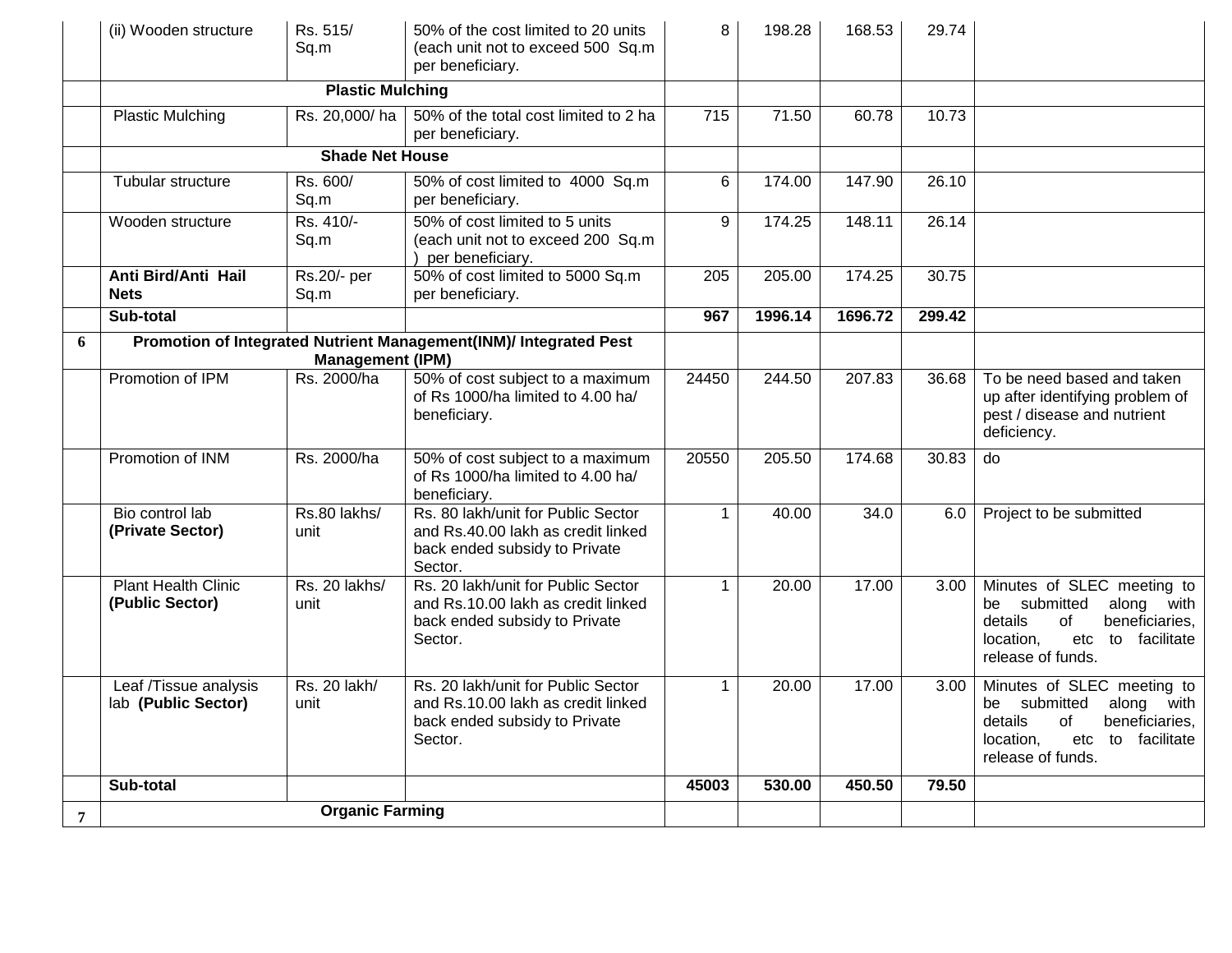|                | (ii) Wooden structure                         | Rs. 515/<br>Sq.m        | 50% of the cost limited to 20 units<br>(each unit not to exceed 500 Sq.m<br>per beneficiary.                         | 8                | 198.28  | 168.53  | 29.74  |                                                                                                                                                    |
|----------------|-----------------------------------------------|-------------------------|----------------------------------------------------------------------------------------------------------------------|------------------|---------|---------|--------|----------------------------------------------------------------------------------------------------------------------------------------------------|
|                |                                               | <b>Plastic Mulching</b> |                                                                                                                      |                  |         |         |        |                                                                                                                                                    |
|                | <b>Plastic Mulching</b>                       | Rs. 20,000/ha           | 50% of the total cost limited to 2 ha<br>per beneficiary.                                                            | $\overline{715}$ | 71.50   | 60.78   | 10.73  |                                                                                                                                                    |
|                |                                               | <b>Shade Net House</b>  |                                                                                                                      |                  |         |         |        |                                                                                                                                                    |
|                | Tubular structure                             | Rs. 600/<br>Sq.m        | 50% of cost limited to 4000 Sq.m<br>per beneficiary.                                                                 | 6                | 174.00  | 147.90  | 26.10  |                                                                                                                                                    |
|                | Wooden structure                              | Rs. 410/-<br>Sq.m       | 50% of cost limited to 5 units<br>(each unit not to exceed 200 Sq.m<br>per beneficiary.                              | $\overline{9}$   | 174.25  | 148.11  | 26.14  |                                                                                                                                                    |
|                | Anti Bird/Anti Hail<br><b>Nets</b>            | Rs.20/- per<br>Sq.m     | 50% of cost limited to 5000 Sq.m<br>per beneficiary.                                                                 | 205              | 205.00  | 174.25  | 30.75  |                                                                                                                                                    |
|                | Sub-total                                     |                         |                                                                                                                      | 967              | 1996.14 | 1696.72 | 299.42 |                                                                                                                                                    |
| 6              |                                               | <b>Management (IPM)</b> | Promotion of Integrated Nutrient Management(INM)/ Integrated Pest                                                    |                  |         |         |        |                                                                                                                                                    |
|                | Promotion of IPM                              | Rs. 2000/ha             | 50% of cost subject to a maximum<br>of Rs 1000/ha limited to 4.00 ha/<br>beneficiary.                                | 24450            | 244.50  | 207.83  | 36.68  | To be need based and taken<br>up after identifying problem of<br>pest / disease and nutrient<br>deficiency.                                        |
|                | Promotion of INM                              | Rs. 2000/ha             | 50% of cost subject to a maximum<br>of Rs 1000/ha limited to 4.00 ha/<br>beneficiary.                                | 20550            | 205.50  | 174.68  | 30.83  | $\overline{d}$                                                                                                                                     |
|                | Bio control lab<br>(Private Sector)           | Rs.80 lakhs/<br>unit    | Rs. 80 lakh/unit for Public Sector<br>and Rs.40.00 lakh as credit linked<br>back ended subsidy to Private<br>Sector. | $\mathbf 1$      | 40.00   | 34.0    | 6.0    | Project to be submitted                                                                                                                            |
|                | <b>Plant Health Clinic</b><br>(Public Sector) | Rs. 20 lakhs/<br>unit   | Rs. 20 lakh/unit for Public Sector<br>and Rs.10.00 lakh as credit linked<br>back ended subsidy to Private<br>Sector. | $\mathbf{1}$     | 20.00   | 17.00   | 3.00   | Minutes of SLEC meeting to<br>be submitted<br>along with<br>details<br>of<br>beneficiaries,<br>etc to facilitate<br>location,<br>release of funds. |
|                | Leaf /Tissue analysis<br>lab (Public Sector)  | Rs. 20 lakh/<br>unit    | Rs. 20 lakh/unit for Public Sector<br>and Rs.10.00 lakh as credit linked<br>back ended subsidy to Private<br>Sector. | $\mathbf{1}$     | 20.00   | 17.00   | 3.00   | Minutes of SLEC meeting to<br>be submitted<br>along with<br>details<br>of<br>beneficiaries,<br>etc to facilitate<br>location,<br>release of funds. |
|                | Sub-total                                     |                         |                                                                                                                      | 45003            | 530.00  | 450.50  | 79.50  |                                                                                                                                                    |
| $\overline{7}$ |                                               | <b>Organic Farming</b>  |                                                                                                                      |                  |         |         |        |                                                                                                                                                    |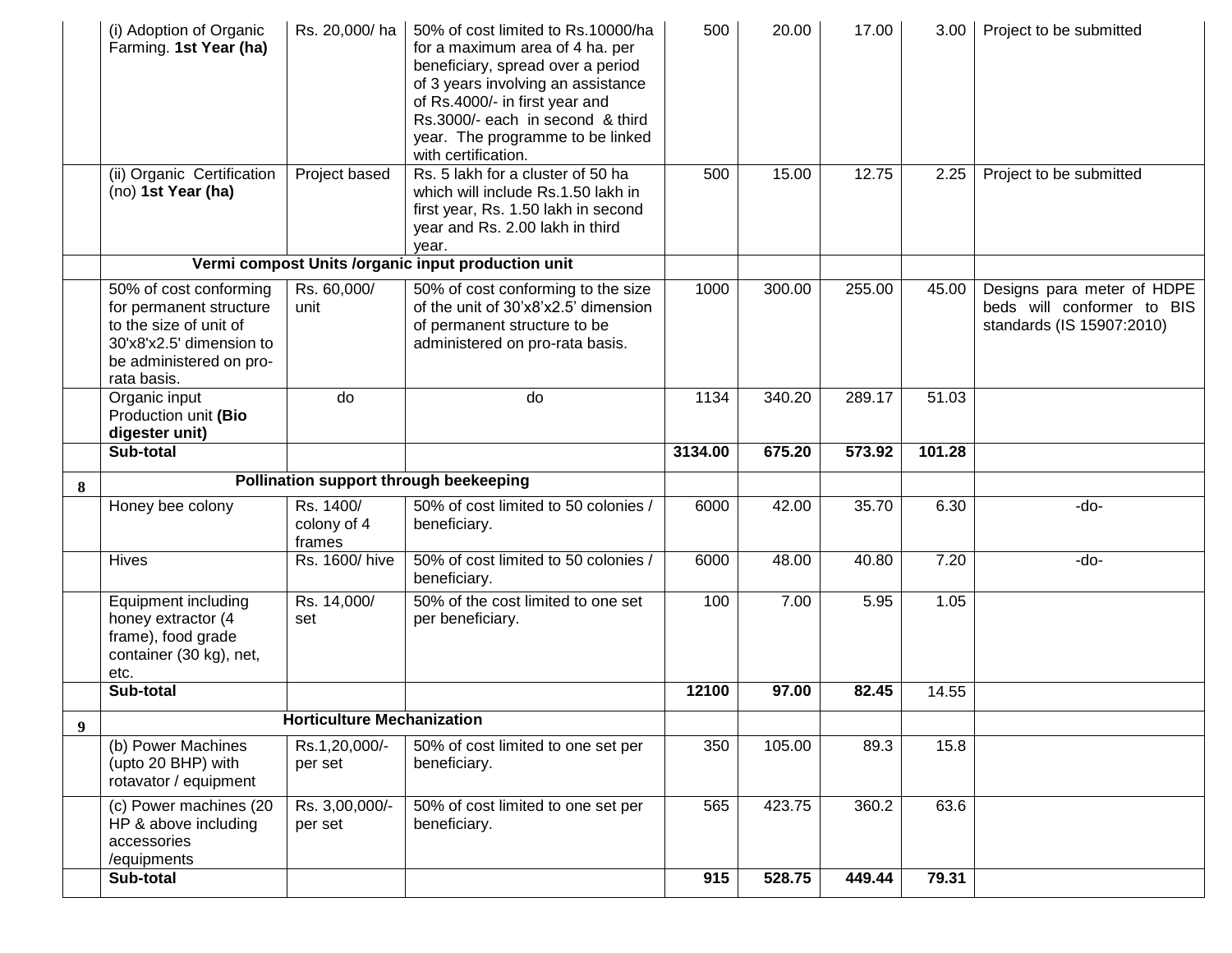|   | (i) Adoption of Organic<br>Farming. 1st Year (ha)<br>(ii) Organic Certification                                                                   | Rs. 20,000/ha<br>Project based     | 50% of cost limited to Rs.10000/ha<br>for a maximum area of 4 ha. per<br>beneficiary, spread over a period<br>of 3 years involving an assistance<br>of Rs.4000/- in first year and<br>Rs.3000/- each in second & third<br>year. The programme to be linked<br>with certification.<br>Rs. 5 lakh for a cluster of 50 ha | 500<br>500 | 20.00<br>15.00 | 17.00<br>12.75 | 3.00<br>2.25 | Project to be submitted<br>Project to be submitted                                    |
|---|---------------------------------------------------------------------------------------------------------------------------------------------------|------------------------------------|------------------------------------------------------------------------------------------------------------------------------------------------------------------------------------------------------------------------------------------------------------------------------------------------------------------------|------------|----------------|----------------|--------------|---------------------------------------------------------------------------------------|
|   | (no) 1st Year (ha)                                                                                                                                |                                    | which will include Rs.1.50 lakh in<br>first year, Rs. 1.50 lakh in second<br>year and Rs. 2.00 lakh in third<br>year.                                                                                                                                                                                                  |            |                |                |              |                                                                                       |
|   |                                                                                                                                                   |                                    | Vermi compost Units /organic input production unit                                                                                                                                                                                                                                                                     |            |                |                |              |                                                                                       |
|   | 50% of cost conforming<br>for permanent structure<br>to the size of unit of<br>30'x8'x2.5' dimension to<br>be administered on pro-<br>rata basis. | Rs. 60,000/<br>unit                | 50% of cost conforming to the size<br>of the unit of 30'x8'x2.5' dimension<br>of permanent structure to be<br>administered on pro-rata basis.                                                                                                                                                                          | 1000       | 300.00         | 255.00         | 45.00        | Designs para meter of HDPE<br>beds will conformer to BIS<br>standards (IS 15907:2010) |
|   | Organic input<br>Production unit (Bio<br>digester unit)                                                                                           | do                                 | do                                                                                                                                                                                                                                                                                                                     | 1134       | 340.20         | 289.17         | 51.03        |                                                                                       |
|   | Sub-total                                                                                                                                         |                                    |                                                                                                                                                                                                                                                                                                                        | 3134.00    | 675.20         | 573.92         | 101.28       |                                                                                       |
| 8 |                                                                                                                                                   |                                    | Pollination support through beekeeping                                                                                                                                                                                                                                                                                 |            |                |                |              |                                                                                       |
|   | Honey bee colony                                                                                                                                  | Rs. 1400/<br>colony of 4<br>frames | 50% of cost limited to 50 colonies /<br>beneficiary.                                                                                                                                                                                                                                                                   | 6000       | 42.00          | 35.70          | 6.30         | -do-                                                                                  |
|   | <b>Hives</b>                                                                                                                                      | Rs. 1600/hive                      | 50% of cost limited to 50 colonies /<br>beneficiary.                                                                                                                                                                                                                                                                   | 6000       | 48.00          | 40.80          | 7.20         | -do-                                                                                  |
|   | <b>Equipment including</b><br>honey extractor (4<br>frame), food grade<br>container (30 kg), net,<br>etc.                                         | Rs. 14,000/<br>set                 | 50% of the cost limited to one set<br>per beneficiary.                                                                                                                                                                                                                                                                 | 100        | 7.00           | 5.95           | 1.05         |                                                                                       |
|   | Sub-total                                                                                                                                         |                                    |                                                                                                                                                                                                                                                                                                                        | 12100      | 97.00          | 82.45          | 14.55        |                                                                                       |
| 9 |                                                                                                                                                   | <b>Horticulture Mechanization</b>  |                                                                                                                                                                                                                                                                                                                        |            |                |                |              |                                                                                       |
|   | (b) Power Machines<br>(upto 20 BHP) with<br>rotavator / equipment                                                                                 | Rs.1,20,000/-<br>per set           | 50% of cost limited to one set per<br>beneficiary.                                                                                                                                                                                                                                                                     | 350        | 105.00         | 89.3           | 15.8         |                                                                                       |
|   | (c) Power machines (20<br>HP & above including<br>accessories<br>/equipments                                                                      | Rs. 3,00,000/-<br>per set          | 50% of cost limited to one set per<br>beneficiary.                                                                                                                                                                                                                                                                     | 565        | 423.75         | 360.2          | 63.6         |                                                                                       |
|   | Sub-total                                                                                                                                         |                                    |                                                                                                                                                                                                                                                                                                                        | 915        | 528.75         | 449.44         | 79.31        |                                                                                       |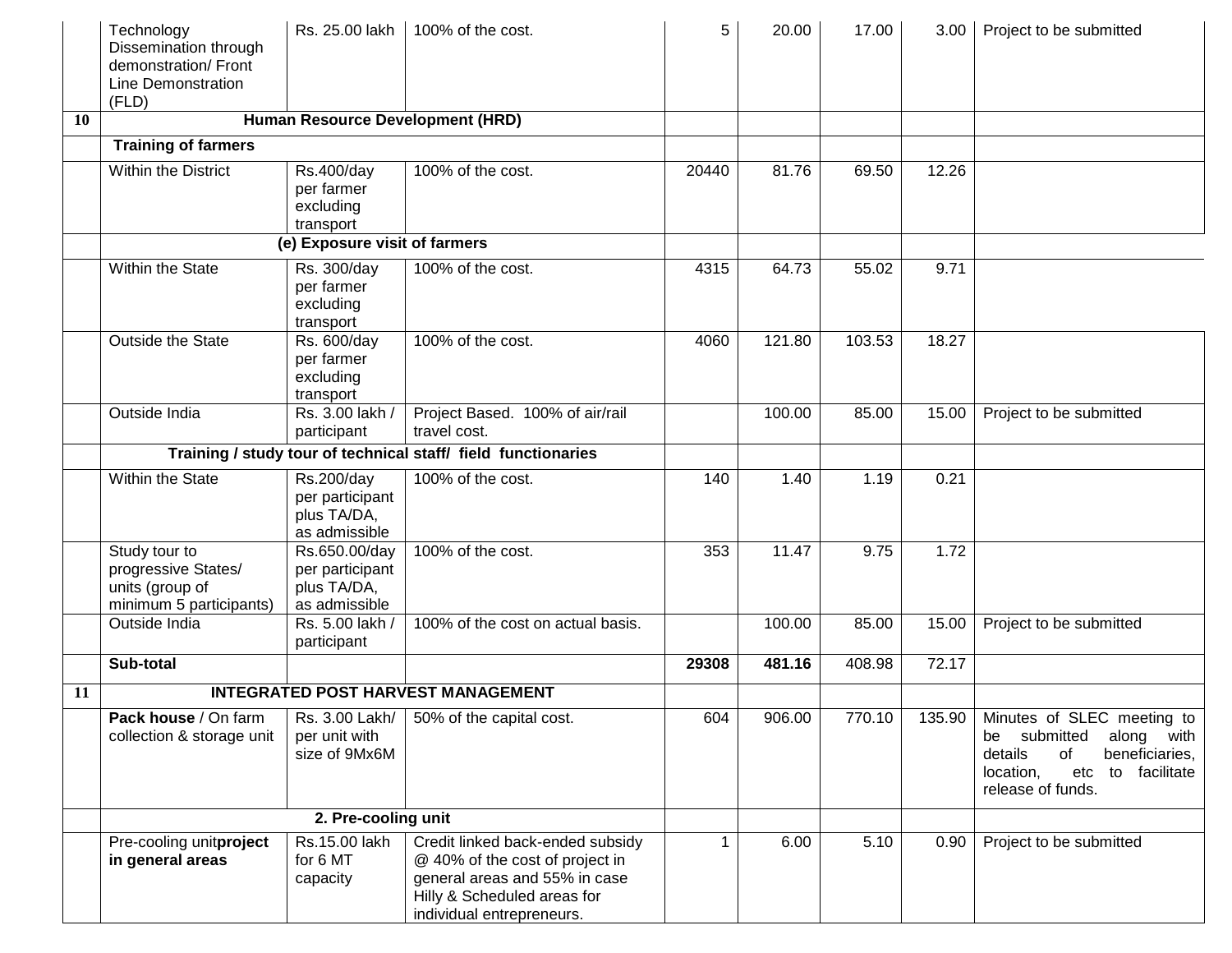|           | Technology<br>Dissemination through<br>demonstration/Front<br><b>Line Demonstration</b><br>(FLD)                 | Rs. 25.00 lakh                                                   | 100% of the cost.                                                                                                                                                | 5     | 20.00  | 17.00  | 3.00  | Project to be submitted                                                                                                                                   |
|-----------|------------------------------------------------------------------------------------------------------------------|------------------------------------------------------------------|------------------------------------------------------------------------------------------------------------------------------------------------------------------|-------|--------|--------|-------|-----------------------------------------------------------------------------------------------------------------------------------------------------------|
| <b>10</b> |                                                                                                                  |                                                                  | Human Resource Development (HRD)                                                                                                                                 |       |        |        |       |                                                                                                                                                           |
|           | <b>Training of farmers</b>                                                                                       |                                                                  |                                                                                                                                                                  |       |        |        |       |                                                                                                                                                           |
|           | Within the District                                                                                              | Rs.400/day<br>per farmer<br>excluding<br>transport               | 100% of the cost.                                                                                                                                                | 20440 | 81.76  | 69.50  | 12.26 |                                                                                                                                                           |
|           | (e) Exposure visit of farmers                                                                                    |                                                                  |                                                                                                                                                                  |       |        |        |       |                                                                                                                                                           |
|           | Within the State                                                                                                 | Rs. 300/day<br>per farmer<br>excluding<br>transport              | 100% of the cost.                                                                                                                                                | 4315  | 64.73  | 55.02  | 9.71  |                                                                                                                                                           |
|           | Outside the State                                                                                                | Rs. 600/day<br>per farmer<br>excluding<br>transport              | 100% of the cost.                                                                                                                                                | 4060  | 121.80 | 103.53 | 18.27 |                                                                                                                                                           |
|           | Outside India                                                                                                    | Rs. 3.00 lakh /<br>participant                                   | Project Based. 100% of air/rail<br>travel cost.                                                                                                                  |       | 100.00 | 85.00  | 15.00 | Project to be submitted                                                                                                                                   |
|           | Training / study tour of technical staff/ field functionaries                                                    |                                                                  |                                                                                                                                                                  |       |        |        |       |                                                                                                                                                           |
|           | Within the State                                                                                                 | Rs.200/day<br>per participant<br>plus TA/DA,<br>as admissible    | 100% of the cost.                                                                                                                                                | 140   | 1.40   | 1.19   | 0.21  |                                                                                                                                                           |
|           | Study tour to<br>progressive States/<br>units (group of<br>minimum 5 participants)                               | Rs.650.00/day<br>per participant<br>plus TA/DA,<br>as admissible | 100% of the cost.                                                                                                                                                | 353   | 11.47  | 9.75   | 1.72  |                                                                                                                                                           |
|           | <b>Outside India</b>                                                                                             | Rs. 5.00 lakh /<br>participant                                   | 100% of the cost on actual basis.                                                                                                                                |       | 100.00 | 85.00  | 15.00 | Project to be submitted                                                                                                                                   |
|           | Sub-total                                                                                                        |                                                                  |                                                                                                                                                                  | 29308 | 481.16 | 408.98 | 72.17 |                                                                                                                                                           |
| 11        |                                                                                                                  |                                                                  | <b>INTEGRATED POST HARVEST MANAGEMENT</b>                                                                                                                        |       |        |        |       |                                                                                                                                                           |
|           | <b>Pack house</b> / On farm $\vert$ Rs. 3.00 Lakh/ $\vert$ 50% of the capital cost.<br>collection & storage unit | per unit with<br>size of 9Mx6M<br>2. Pre-cooling unit            |                                                                                                                                                                  | 604   | 906.00 | 770.10 |       | 135.90 Minutes of SLEC meeting to<br>be submitted<br>along with<br>details<br>of<br>beneficiaries,<br>etc to facilitate<br>location,<br>release of funds. |
|           |                                                                                                                  |                                                                  |                                                                                                                                                                  |       |        |        |       |                                                                                                                                                           |
|           | Pre-cooling unitproject<br>in general areas                                                                      | Rs.15.00 lakh<br>for 6 MT<br>capacity                            | Credit linked back-ended subsidy<br>@ 40% of the cost of project in<br>general areas and 55% in case<br>Hilly & Scheduled areas for<br>individual entrepreneurs. |       | 6.00   | 5.10   | 0.90  | Project to be submitted                                                                                                                                   |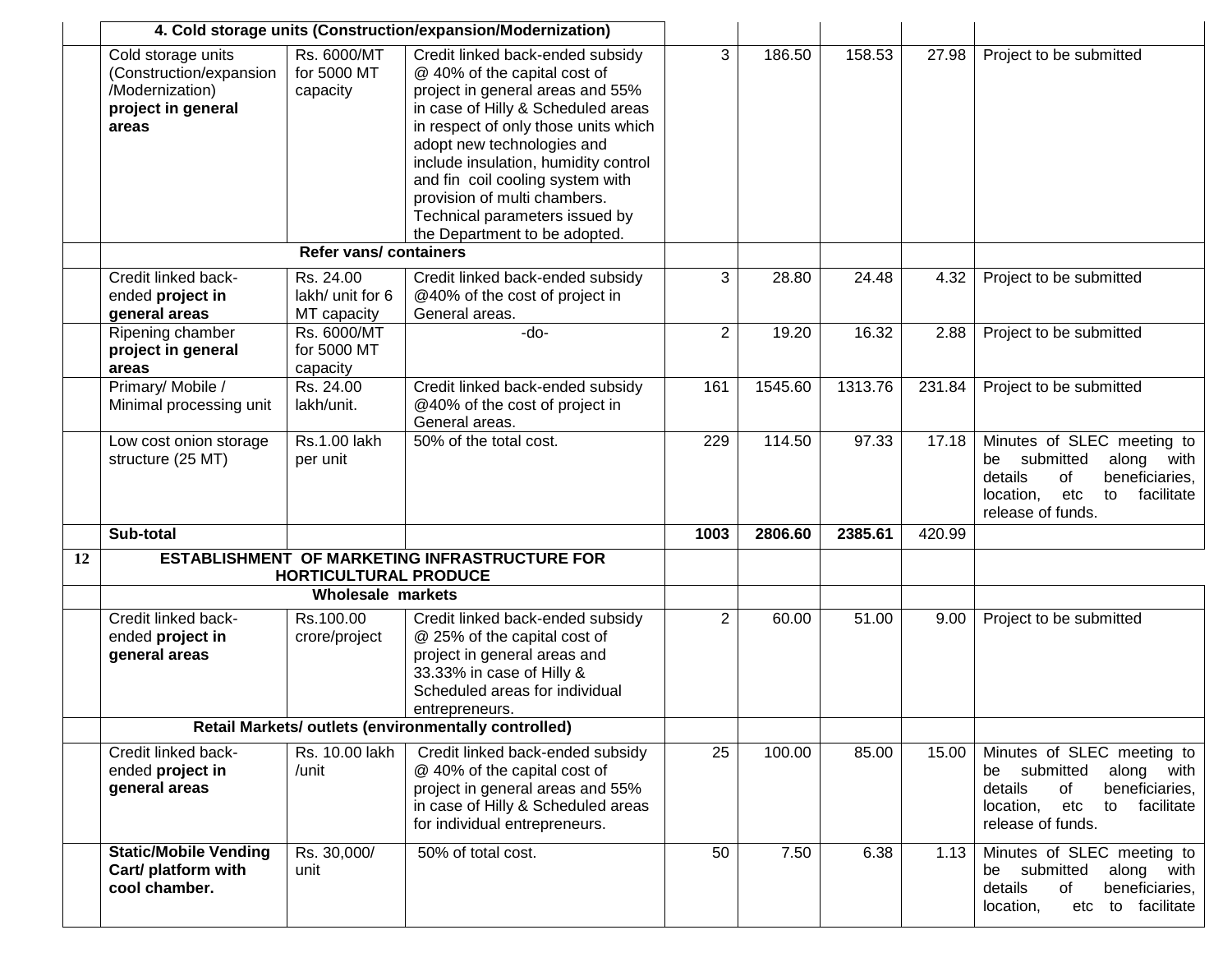|    | 4. Cold storage units (Construction/expansion/Modernization)                                              |                                              |                                                                                                                                                                                                                                                                                                                                                                                                 |                |         |         |        |                                                                                                                                                             |
|----|-----------------------------------------------------------------------------------------------------------|----------------------------------------------|-------------------------------------------------------------------------------------------------------------------------------------------------------------------------------------------------------------------------------------------------------------------------------------------------------------------------------------------------------------------------------------------------|----------------|---------|---------|--------|-------------------------------------------------------------------------------------------------------------------------------------------------------------|
|    | Cold storage units<br>(Construction/expansion<br>/Modernization)<br>project in general<br>areas           | Rs. 6000/MT<br>for 5000 MT<br>capacity       | Credit linked back-ended subsidy<br>@ 40% of the capital cost of<br>project in general areas and 55%<br>in case of Hilly & Scheduled areas<br>in respect of only those units which<br>adopt new technologies and<br>include insulation, humidity control<br>and fin coil cooling system with<br>provision of multi chambers.<br>Technical parameters issued by<br>the Department to be adopted. | 3              | 186.50  | 158.53  | 27.98  | Project to be submitted                                                                                                                                     |
|    |                                                                                                           |                                              |                                                                                                                                                                                                                                                                                                                                                                                                 |                |         |         |        |                                                                                                                                                             |
|    | Credit linked back-<br>ended project in<br>general areas                                                  | Rs. 24.00<br>lakh/ unit for 6<br>MT capacity | Credit linked back-ended subsidy<br>@40% of the cost of project in<br>General areas.                                                                                                                                                                                                                                                                                                            | 3              | 28.80   | 24.48   | 4.32   | Project to be submitted                                                                                                                                     |
|    | Ripening chamber<br>project in general<br>areas                                                           | Rs. 6000/MT<br>for 5000 MT<br>capacity       | -do-                                                                                                                                                                                                                                                                                                                                                                                            | $\overline{2}$ | 19.20   | 16.32   | 2.88   | Project to be submitted                                                                                                                                     |
|    | Primary/Mobile /<br>Minimal processing unit                                                               | Rs. 24.00<br>lakh/unit.                      | Credit linked back-ended subsidy<br>@40% of the cost of project in<br>General areas.                                                                                                                                                                                                                                                                                                            | 161            | 1545.60 | 1313.76 | 231.84 | Project to be submitted                                                                                                                                     |
|    | Low cost onion storage<br>structure (25 MT)                                                               | Rs.1.00 lakh<br>per unit                     | 50% of the total cost.                                                                                                                                                                                                                                                                                                                                                                          | 229            | 114.50  | 97.33   | 17.18  | Minutes of SLEC meeting to<br>submitted<br>along with<br>be<br>details<br>of<br>beneficiaries,<br>location,<br>etc<br>facilitate<br>to<br>release of funds. |
|    | Sub-total                                                                                                 |                                              |                                                                                                                                                                                                                                                                                                                                                                                                 | 1003           | 2806.60 | 2385.61 | 420.99 |                                                                                                                                                             |
| 12 | ESTABLISHMENT OF MARKETING INFRASTRUCTURE FOR<br><b>HORTICULTURAL PRODUCE</b><br><b>Wholesale markets</b> |                                              |                                                                                                                                                                                                                                                                                                                                                                                                 |                |         |         |        |                                                                                                                                                             |
|    |                                                                                                           |                                              |                                                                                                                                                                                                                                                                                                                                                                                                 |                |         |         |        |                                                                                                                                                             |
|    | Credit linked back-<br>ended project in<br>general areas                                                  | Rs.100.00<br>crore/project                   | Credit linked back-ended subsidy<br>@ 25% of the capital cost of<br>project in general areas and<br>33.33% in case of Hilly &<br>Scheduled areas for individual<br>entrepreneurs.                                                                                                                                                                                                               | $\overline{2}$ | 60.00   | 51.00   | 9.00   | Project to be submitted                                                                                                                                     |
|    | Retail Markets/ outlets (environmentally controlled)                                                      |                                              |                                                                                                                                                                                                                                                                                                                                                                                                 |                |         |         |        |                                                                                                                                                             |
|    | Credit linked back-<br>ended project in<br>general areas                                                  | Rs. 10.00 lakh<br>/unit                      | Credit linked back-ended subsidy<br>@ 40% of the capital cost of<br>project in general areas and 55%<br>in case of Hilly & Scheduled areas<br>for individual entrepreneurs.                                                                                                                                                                                                                     | 25             | 100.00  | 85.00   | 15.00  | Minutes of SLEC meeting to<br>be submitted<br>along with<br>details<br>beneficiaries,<br>of<br>location,<br>etc<br>to facilitate<br>release of funds.       |
|    | <b>Static/Mobile Vending</b><br>Cart/ platform with<br>cool chamber.                                      | Rs. 30,000/<br>unit                          | 50% of total cost.                                                                                                                                                                                                                                                                                                                                                                              | 50             | 7.50    | 6.38    | 1.13   | Minutes of SLEC meeting to<br>submitted<br>along with<br>be<br>details<br>of<br>beneficiaries,<br>location,<br>etc<br>to facilitate                         |